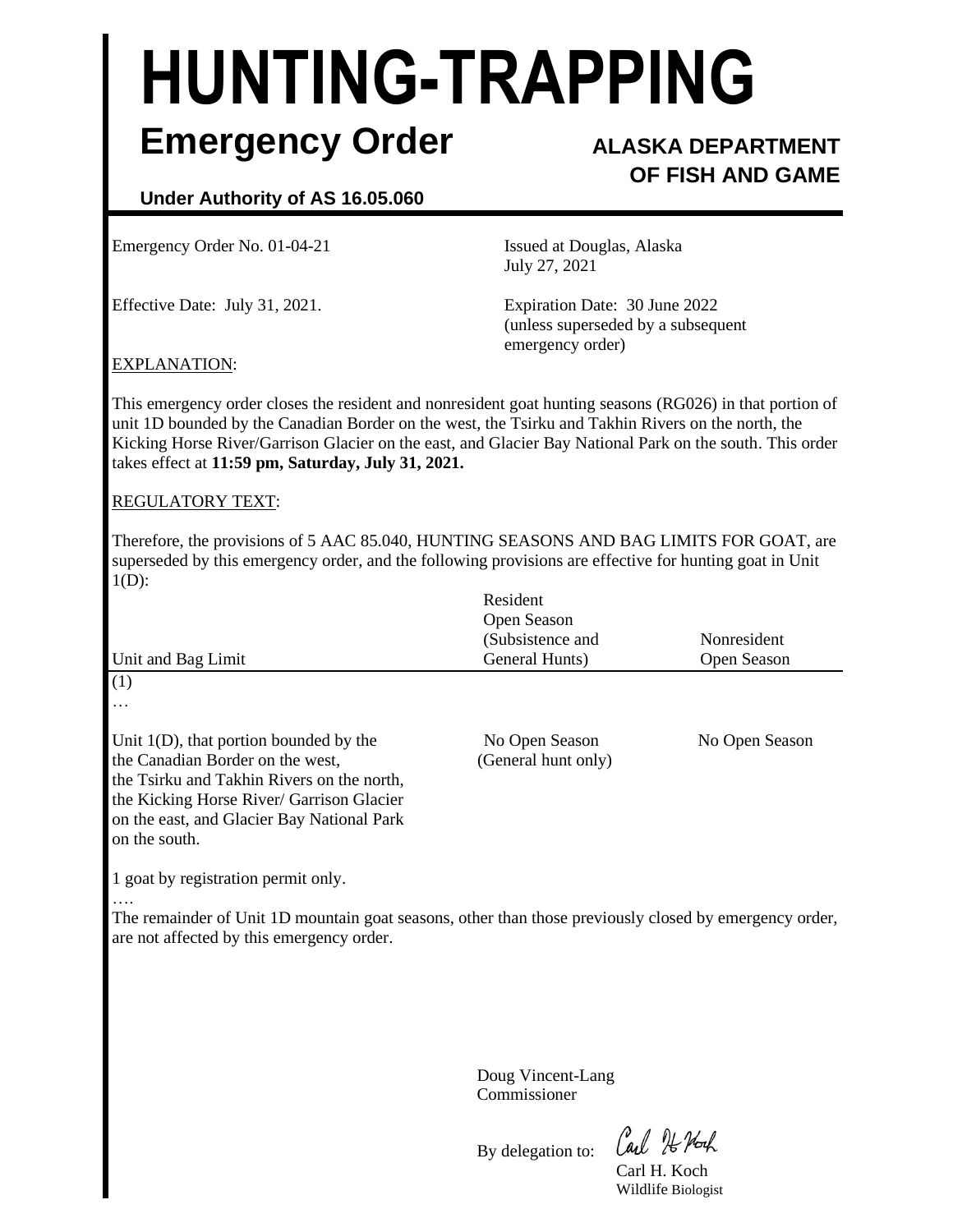# **HUNTING-TRAPPING Emergency Order ALASKA DEPARTMENT**

# **OF FISH AND GAME**

# **Under Authority of AS 16.05.060**

Emergency Order No. 01-04-21 **Issued at Douglas, Alaska** 

July 27, 2021

Effective Date: July 31, 2021. Expiration Date: 30 June 2022 (unless superseded by a subsequent emergency order)

## EXPLANATION:

This emergency order closes the resident and nonresident goat hunting seasons (RG026) in that portion of unit 1D bounded by the Canadian Border on the west, the Tsirku and Takhin Rivers on the north, the Kicking Horse River/Garrison Glacier on the east, and Glacier Bay National Park on the south. This order takes effect at **11:59 pm, Saturday, July 31, 2021.**

### REGULATORY TEXT:

Therefore, the provisions of 5 AAC 85.040, HUNTING SEASONS AND BAG LIMITS FOR GOAT, are superseded by this emergency order, and the following provisions are effective for hunting goat in Unit  $1(D)$ :

|                                            | Resident<br>Open Season |                |
|--------------------------------------------|-------------------------|----------------|
|                                            | (Subsistence and        | Nonresident    |
| Unit and Bag Limit                         | General Hunts)          | Open Season    |
| (1)                                        |                         |                |
| $\cdots$                                   |                         |                |
| Unit $1(D)$ , that portion bounded by the  | No Open Season          | No Open Season |
| the Canadian Border on the west,           | (General hunt only)     |                |
| the Tsirku and Takhin Rivers on the north, |                         |                |
| the Kicking Horse River/ Garrison Glacier  |                         |                |
| on the east, and Glacier Bay National Park |                         |                |
| on the south.                              |                         |                |
|                                            |                         |                |

1 goat by registration permit only.

….

The remainder of Unit 1D mountain goat seasons, other than those previously closed by emergency order, are not affected by this emergency order.

> Doug Vincent-Lang Commissioner

By delegation to:

Carl He Hoch

Carl H. Koch Wildlife Biologist